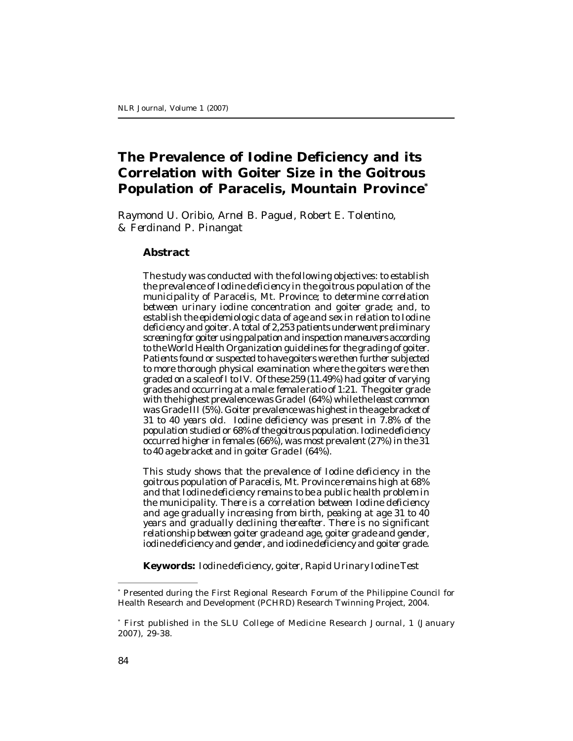# **The Prevalence of Iodine Deficiency and its Correlation with Goiter Size in the Goitrous Population of Paracelis, Mountain Province\***

*Raymond U. Oribio, Arnel B. Paguel, Robert E. Tolentino, & Ferdinand P. Pinangat*

### **Abstract**

*The study was conducted with the following objectives: to establish the prevalence of Iodine deficiency in the goitrous population of the municipality of Paracelis, Mt. Province; to determine correlation between urinary iodine concentration and goiter grade; and, to establish the epidemiologic data of age and sex in relation to Iodine deficiency and goiter. A total of 2,253 patients underwent preliminary screening for goiter using palpation and inspection maneuvers according to the World Health Organization guidelines for the grading of goiter. Patients found or suspected to have goiters were then further subjected to more thorough physical examination where the goiters were then graded on a scale of I to IV. Of these 259 (11.49%) had goiter of varying grades and occurring at a male: female ratio of 1:21. The goiter grade with the highest prevalence was Grade I (64%) while the least common was Grade III (5%). Goiter prevalence was highest in the age bracket of 31 to 40 years old. Iodine deficiency was present in 7.8% of the population studied or 68% of the goitrous population. Iodine deficiency occurred higher in females (66%), was most prevalent (27%) in the 31 to 40 age bracket and in goiter Grade I (64%).*

*This study shows that the prevalence of Iodine deficiency in the goitrous population of Paracelis, Mt. Province remains high at 68% and that Iodine deficiency remains to be a public health problem in the municipality. There is a correlation between Iodine deficiency and age gradually increasing from birth, peaking at age 31 to 40 years and gradually declining thereafter. There is no significant relationship between goiter grade and age, goiter grade and gender, iodine deficiency and gender, and iodine deficiency and goiter grade.*

**Keywords:** *Iodine deficiency, goiter, Rapid Urinary Iodine Test*

<sup>\*</sup> Presented during the First Regional Research Forum of the Philippine Council for Health Research and Development (PCHRD) Research Twinning Project, 2004.

<sup>\*</sup> First published in the SLU College of Medicine Research Journal, 1 (January 2007), 29-38.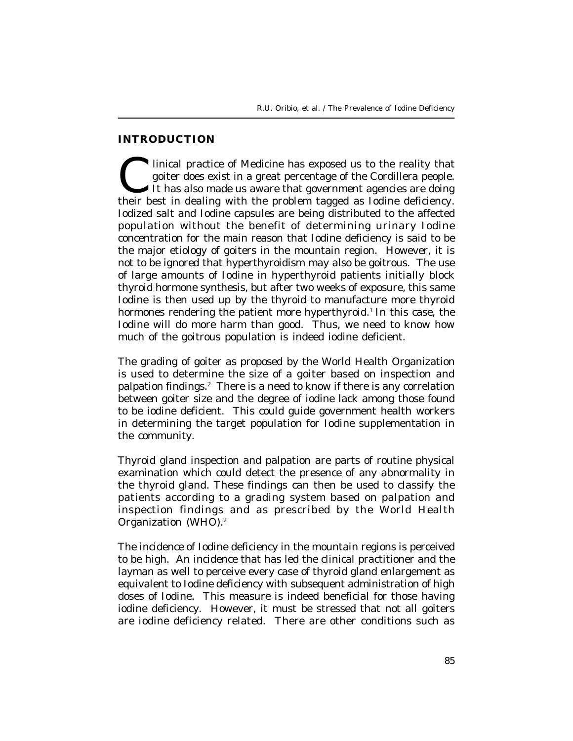### **INTRODUCTION**

Inical practice of Medicine has exposed us to the reality that goiter does exist in a great percentage of the Cordillera people.<br>It has also made us aware that government agencies are doing their best in dealing with the p Inical practice of Medicine has exposed us to the reality that goiter does exist in a great percentage of the Cordillera people. It has also made us aware that government agencies are doing Iodized salt and Iodine capsules are being distributed to the affected population without the benefit of determining urinary Iodine concentration for the main reason that Iodine deficiency is said to be the major etiology of goiters in the mountain region. However, it is not to be ignored that hyperthyroidism may also be goitrous. The use of large amounts of Iodine in hyperthyroid patients initially block thyroid hormone synthesis, but after two weeks of exposure, this same Iodine is then used up by the thyroid to manufacture more thyroid hormones rendering the patient more hyperthyroid.<sup>1</sup> In this case, the Iodine will do more harm than good. Thus, we need to know how much of the goitrous population is indeed iodine deficient.

The grading of goiter as proposed by the World Health Organization is used to determine the size of a goiter based on inspection and palpation findings.<sup>2</sup> There is a need to know if there is any correlation between goiter size and the degree of iodine lack among those found to be iodine deficient. This could guide government health workers in determining the target population for Iodine supplementation in the community.

Thyroid gland inspection and palpation are parts of routine physical examination which could detect the presence of any abnormality in the thyroid gland. These findings can then be used to classify the patients according to a grading system based on palpation and inspection findings and as prescribed by the World Health Organization (WHO).<sup>2</sup>

The incidence of Iodine deficiency in the mountain regions is perceived to be high. An incidence that has led the clinical practitioner and the layman as well to perceive every case of thyroid gland enlargement as equivalent to Iodine deficiency with subsequent administration of high doses of Iodine. This measure is indeed beneficial for those having iodine deficiency. However, it must be stressed that not all goiters are iodine deficiency related. There are other conditions such as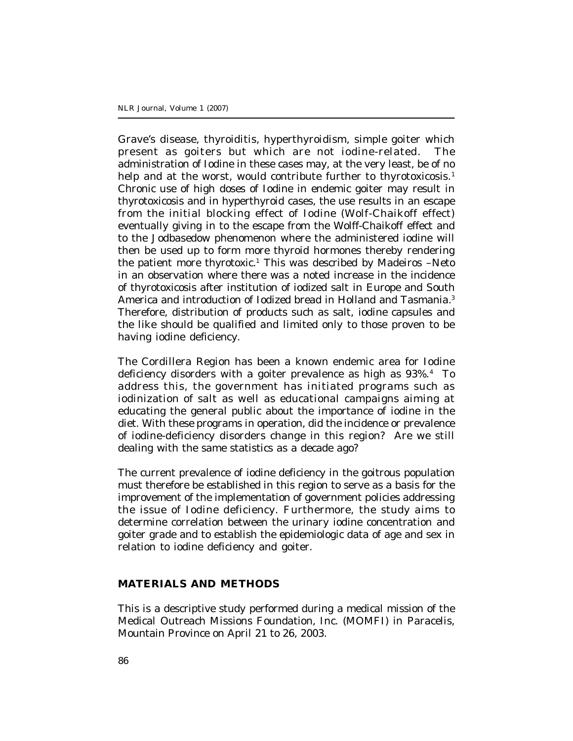Grave's disease, thyroiditis, hyperthyroidism, simple goiter which present as goiters but which are not iodine-related. The administration of Iodine in these cases may, at the very least, be of no help and at the worst, would contribute further to thyrotoxicosis.<sup>1</sup> Chronic use of high doses of Iodine in endemic goiter may result in thyrotoxicosis and in hyperthyroid cases, the use results in an escape from the initial blocking effect of Iodine (Wolf-Chaikoff effect) eventually giving in to the escape from the Wolff-Chaikoff effect and to the Jodbasedow phenomenon where the administered iodine will then be used up to form more thyroid hormones thereby rendering the patient more thyrotoxic.<sup>1</sup> This was described by Madeiros -Neto in an observation where there was a noted increase in the incidence of thyrotoxicosis after institution of iodized salt in Europe and South America and introduction of Iodized bread in Holland and Tasmania.<sup>3</sup> Therefore, distribution of products such as salt, iodine capsules and the like should be qualified and limited only to those proven to be having iodine deficiency.

The Cordillera Region has been a known endemic area for Iodine deficiency disorders with a goiter prevalence as high as 93%.<sup>4</sup> To address this, the government has initiated programs such as iodinization of salt as well as educational campaigns aiming at educating the general public about the importance of iodine in the diet. With these programs in operation, did the incidence or prevalence of iodine-deficiency disorders change in this region? Are we still dealing with the same statistics as a decade ago?

The current prevalence of iodine deficiency in the goitrous population must therefore be established in this region to serve as a basis for the improvement of the implementation of government policies addressing the issue of Iodine deficiency. Furthermore, the study aims to determine correlation between the urinary iodine concentration and goiter grade and to establish the epidemiologic data of age and sex in relation to iodine deficiency and goiter.

### **MATERIALS AND METHODS**

This is a descriptive study performed during a medical mission of the Medical Outreach Missions Foundation, Inc. (MOMFI) in Paracelis, Mountain Province on April 21 to 26, 2003.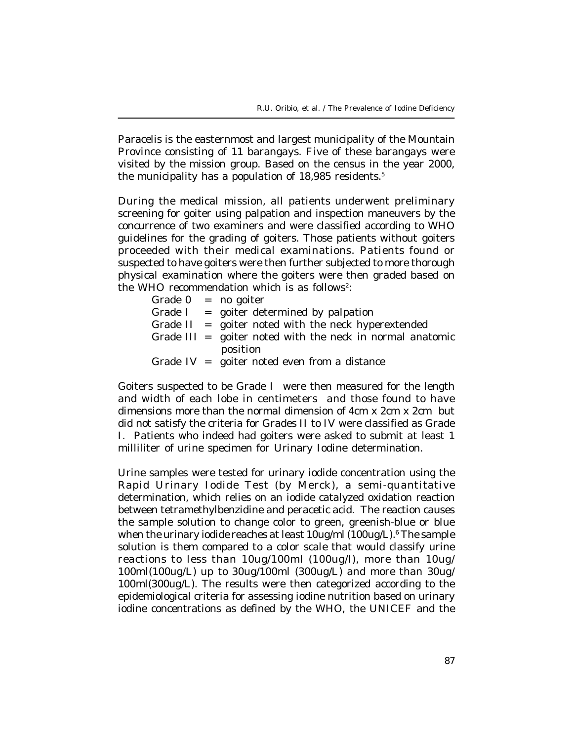Paracelis is the easternmost and largest municipality of the Mountain Province consisting of 11 barangays. Five of these barangays were visited by the mission group. Based on the census in the year 2000, the municipality has a population of 18,985 residents.<sup>5</sup>

During the medical mission, all patients underwent preliminary screening for goiter using palpation and inspection maneuvers by the concurrence of two examiners and were classified according to WHO guidelines for the grading of goiters. Those patients without goiters proceeded with their medical examinations. Patients found or suspected to have goiters were then further subjected to more thorough physical examination where the goiters were then graded based on the WHO recommendation which is as follows<sup>2</sup>:

|  | Grade $0 = no$ goiter                                       |
|--|-------------------------------------------------------------|
|  | Grade $I =$ goiter determined by palpation                  |
|  | Grade $II =$ goiter noted with the neck hyperextended       |
|  | Grade $III =$ goiter noted with the neck in normal anatomic |
|  | position                                                    |
|  | Grade $IV =$ goiter noted even from a distance              |

Goiters suspected to be Grade I were then measured for the length and width of each lobe in centimeters and those found to have dimensions more than the normal dimension of 4cm x 2cm x 2cm but did not satisfy the criteria for Grades II to IV were classified as Grade I. Patients who indeed had goiters were asked to submit at least 1 milliliter of urine specimen for Urinary Iodine determination.

Urine samples were tested for urinary iodide concentration using the Rapid Urinary Iodide Test (by Merck), a semi-quantitative determination, which relies on an iodide catalyzed oxidation reaction between tetramethylbenzidine and peracetic acid. The reaction causes the sample solution to change color to green, greenish-blue or blue when the urinary iodide reaches at least 10ug/ml (100ug/L).<sup>6</sup> The sample solution is them compared to a color scale that would classify urine reactions to less than 10ug/100ml (100ug/l), more than 10ug/ 100ml(100ug/L) up to 30ug/100ml (300ug/L) and more than 30ug/ 100ml(300ug/L). The results were then categorized according to the epidemiological criteria for assessing iodine nutrition based on urinary iodine concentrations as defined by the WHO, the UNICEF and the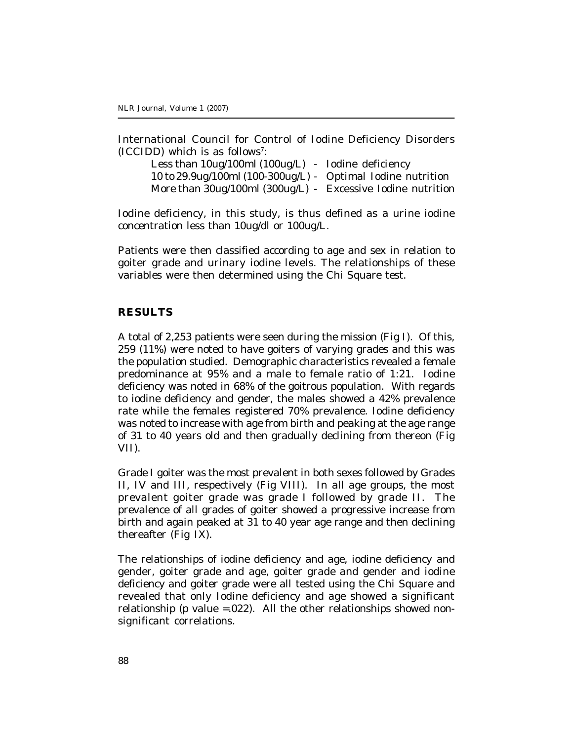International Council for Control of Iodine Deficiency Disorders (ICCIDD) which is as follows<sup>7</sup> :

Less than 10ug/100ml (100ug/L) - Iodine deficiency 10 to 29.9ug/100ml (100-300ug/L) - Optimal Iodine nutrition More than 30ug/100ml (300ug/L) - Excessive Iodine nutrition

Iodine deficiency, in this study, is thus defined as a urine iodine concentration less than 10ug/dl or 100ug/L.

Patients were then classified according to age and sex in relation to goiter grade and urinary iodine levels. The relationships of these variables were then determined using the Chi Square test.

#### **RESULTS**

A total of 2,253 patients were seen during the mission (Fig I). Of this, 259 (11%) were noted to have goiters of varying grades and this was the population studied. Demographic characteristics revealed a female predominance at 95% and a male to female ratio of 1:21. Iodine deficiency was noted in 68% of the goitrous population. With regards to iodine deficiency and gender, the males showed a 42% prevalence rate while the females registered 70% prevalence. Iodine deficiency was noted to increase with age from birth and peaking at the age range of 31 to 40 years old and then gradually declining from thereon (Fig VII).

Grade I goiter was the most prevalent in both sexes followed by Grades II, IV and III, respectively (Fig VIII). In all age groups, the most prevalent goiter grade was grade I followed by grade II. The prevalence of all grades of goiter showed a progressive increase from birth and again peaked at 31 to 40 year age range and then declining thereafter (Fig IX).

The relationships of iodine deficiency and age, iodine deficiency and gender, goiter grade and age, goiter grade and gender and iodine deficiency and goiter grade were all tested using the Chi Square and revealed that only Iodine deficiency and age showed a significant relationship (p value =.022). All the other relationships showed nonsignificant correlations.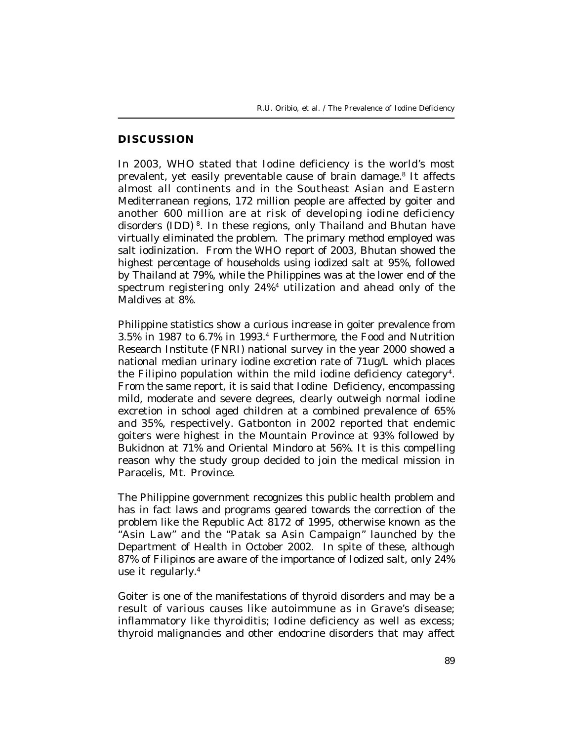### **DISCUSSION**

In 2003, WHO stated that Iodine deficiency is the world's most prevalent, yet easily preventable cause of brain damage.<sup>8</sup> It affects almost all continents and in the Southeast Asian and Eastern Mediterranean regions, 172 million people are affected by goiter and another 600 million are at risk of developing iodine deficiency disorders (IDD)<sup>8</sup>. In these regions, only Thailand and Bhutan have virtually eliminated the problem. The primary method employed was salt iodinization. From the WHO report of 2003, Bhutan showed the highest percentage of households using iodized salt at 95%, followed by Thailand at 79%, while the Philippines was at the lower end of the spectrum registering only 24%<sup>4</sup> utilization and ahead only of the Maldives at 8%.

Philippine statistics show a curious increase in goiter prevalence from 3.5% in 1987 to 6.7% in 1993.<sup>4</sup> Furthermore, the Food and Nutrition Research Institute (FNRI) national survey in the year 2000 showed a national median urinary iodine excretion rate of 71ug/L which places the Filipino population within the mild iodine deficiency category<sup>4</sup>. From the same report, it is said that Iodine Deficiency, encompassing mild, moderate and severe degrees, clearly outweigh normal iodine excretion in school aged children at a combined prevalence of 65% and 35%, respectively. Gatbonton in 2002 reported that endemic goiters were highest in the Mountain Province at 93% followed by Bukidnon at 71% and Oriental Mindoro at 56%. It is this compelling reason why the study group decided to join the medical mission in Paracelis, Mt. Province.

The Philippine government recognizes this public health problem and has in fact laws and programs geared towards the correction of the problem like the Republic Act 8172 of 1995, otherwise known as the "Asin Law" and the "Patak sa Asin Campaign" launched by the Department of Health in October 2002. In spite of these, although 87% of Filipinos are aware of the importance of Iodized salt, only 24% use it regularly.<sup>4</sup>

Goiter is one of the manifestations of thyroid disorders and may be a result of various causes like autoimmune as in Grave's disease; inflammatory like thyroiditis; Iodine deficiency as well as excess; thyroid malignancies and other endocrine disorders that may affect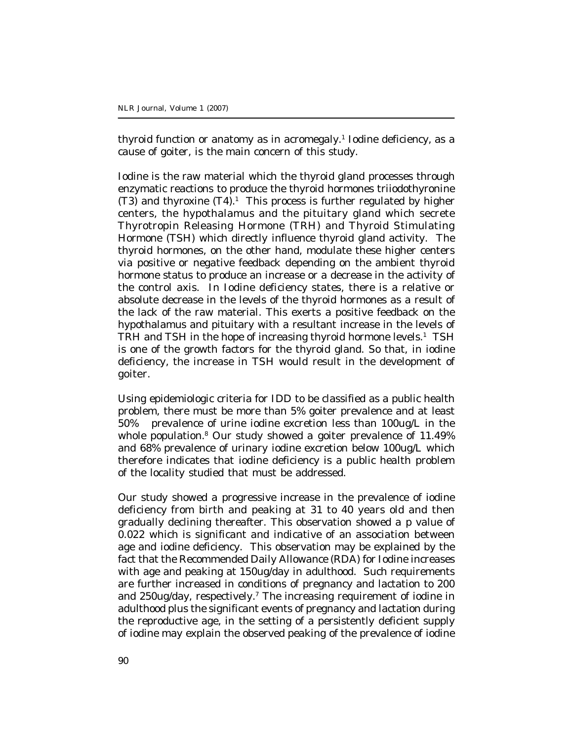thyroid function or anatomy as in acromegaly.<sup>1</sup> Iodine deficiency, as a cause of goiter, is the main concern of this study.

Iodine is the raw material which the thyroid gland processes through enzymatic reactions to produce the thyroid hormones triiodothyronine (T3) and thyroxine  $(T4)$ .<sup>1</sup> This process is further regulated by higher centers, the hypothalamus and the pituitary gland which secrete Thyrotropin Releasing Hormone (TRH) and Thyroid Stimulating Hormone (TSH) which directly influence thyroid gland activity. The thyroid hormones, on the other hand, modulate these higher centers via positive or negative feedback depending on the ambient thyroid hormone status to produce an increase or a decrease in the activity of the control axis. In Iodine deficiency states, there is a relative or absolute decrease in the levels of the thyroid hormones as a result of the lack of the raw material. This exerts a positive feedback on the hypothalamus and pituitary with a resultant increase in the levels of TRH and TSH in the hope of increasing thyroid hormone levels.<sup>1</sup> TSH is one of the growth factors for the thyroid gland. So that, in iodine deficiency, the increase in TSH would result in the development of goiter.

Using epidemiologic criteria for IDD to be classified as a public health problem, there must be more than 5% goiter prevalence and at least 50% prevalence of urine iodine excretion less than 100ug/L in the whole population.<sup>8</sup> Our study showed a goiter prevalence of 11.49% and 68% prevalence of urinary iodine excretion below 100ug/L which therefore indicates that iodine deficiency is a public health problem of the locality studied that must be addressed.

Our study showed a progressive increase in the prevalence of iodine deficiency from birth and peaking at 31 to 40 years old and then gradually declining thereafter. This observation showed a p value of 0.022 which is significant and indicative of an association between age and iodine deficiency. This observation may be explained by the fact that the Recommended Daily Allowance (RDA) for Iodine increases with age and peaking at 150ug/day in adulthood. Such requirements are further increased in conditions of pregnancy and lactation to 200 and 250ug/day, respectively.<sup>7</sup> The increasing requirement of iodine in adulthood plus the significant events of pregnancy and lactation during the reproductive age, in the setting of a persistently deficient supply of iodine may explain the observed peaking of the prevalence of iodine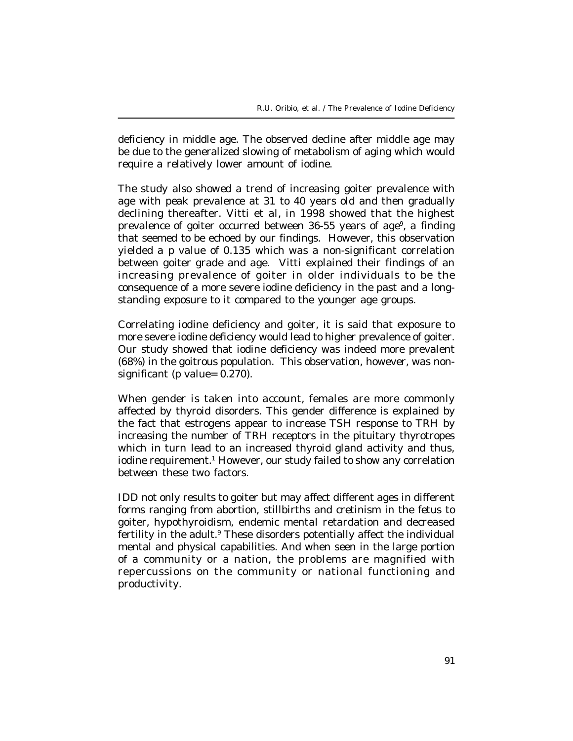deficiency in middle age. The observed decline after middle age may be due to the generalized slowing of metabolism of aging which would require a relatively lower amount of iodine.

The study also showed a trend of increasing goiter prevalence with age with peak prevalence at 31 to 40 years old and then gradually declining thereafter. Vitti et al, in 1998 showed that the highest prevalence of goiter occurred between 36-55 years of age<sup>9</sup>, a finding that seemed to be echoed by our findings. However, this observation yielded a p value of 0.135 which was a non-significant correlation between goiter grade and age. Vitti explained their findings of an increasing prevalence of goiter in older individuals to be the consequence of a more severe iodine deficiency in the past and a longstanding exposure to it compared to the younger age groups.

Correlating iodine deficiency and goiter, it is said that exposure to more severe iodine deficiency would lead to higher prevalence of goiter. Our study showed that iodine deficiency was indeed more prevalent (68%) in the goitrous population. This observation, however, was nonsignificant (p value= 0.270).

When gender is taken into account, females are more commonly affected by thyroid disorders. This gender difference is explained by the fact that estrogens appear to increase TSH response to TRH by increasing the number of TRH receptors in the pituitary thyrotropes which in turn lead to an increased thyroid gland activity and thus, iodine requirement.<sup>1</sup> However, our study failed to show any correlation between these two factors.

IDD not only results to goiter but may affect different ages in different forms ranging from abortion, stillbirths and cretinism in the fetus to goiter, hypothyroidism, endemic mental retardation and decreased fertility in the adult.<sup>9</sup> These disorders potentially affect the individual mental and physical capabilities. And when seen in the large portion of a community or a nation, the problems are magnified with repercussions on the community or national functioning and productivity.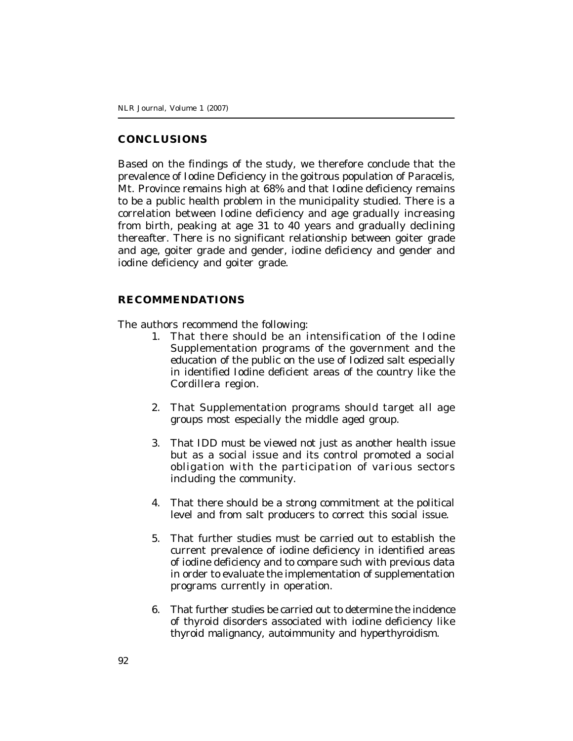### **CONCLUSIONS**

Based on the findings of the study, we therefore conclude that the prevalence of Iodine Deficiency in the goitrous population of Paracelis, Mt. Province remains high at 68% and that Iodine deficiency remains to be a public health problem in the municipality studied. There is a correlation between Iodine deficiency and age gradually increasing from birth, peaking at age 31 to 40 years and gradually declining thereafter. There is no significant relationship between goiter grade and age, goiter grade and gender, iodine deficiency and gender and iodine deficiency and goiter grade.

#### **RECOMMENDATIONS**

The authors recommend the following:

- 1. That there should be an intensification of the Iodine Supplementation programs of the government and the education of the public on the use of Iodized salt especially in identified Iodine deficient areas of the country like the Cordillera region.
- 2. That Supplementation programs should target all age groups most especially the middle aged group.
- 3. That IDD must be viewed not just as another health issue but as a social issue and its control promoted a social obligation with the participation of various sectors including the community.
- 4. That there should be a strong commitment at the political level and from salt producers to correct this social issue.
- 5. That further studies must be carried out to establish the current prevalence of iodine deficiency in identified areas of iodine deficiency and to compare such with previous data in order to evaluate the implementation of supplementation programs currently in operation.
- 6. That further studies be carried out to determine the incidence of thyroid disorders associated with iodine deficiency like thyroid malignancy, autoimmunity and hyperthyroidism.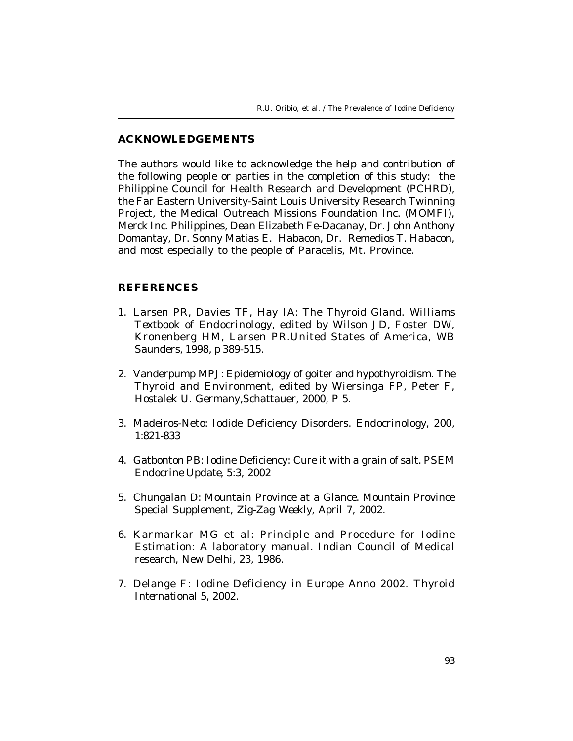### **ACKNOWLEDGEMENTS**

The authors would like to acknowledge the help and contribution of the following people or parties in the completion of this study: the Philippine Council for Health Research and Development (PCHRD), the Far Eastern University-Saint Louis University Research Twinning Project, the Medical Outreach Missions Foundation Inc. (MOMFI), Merck Inc. Philippines, Dean Elizabeth Fe-Dacanay, Dr. John Anthony Domantay, Dr. Sonny Matias E. Habacon, Dr. Remedios T. Habacon, and most especially to the people of Paracelis, Mt. Province.

### **REFERENCES**

- 1. Larsen PR, Davies TF, Hay IA: The Thyroid Gland. *Williams Textbook of Endocrinology*, edited by Wilson JD, Foster DW, Kronenberg HM, Larsen PR.United States of America, WB Saunders, 1998, p 389-515.
- 2. Vanderpump MPJ: Epidemiology of goiter and hypothyroidism. *The Thyroid and Environment*, edited by Wiersinga FP, Peter F, Hostalek U. Germany,Schattauer, 2000, P 5.
- 3. Madeiros-Neto: Iodide Deficiency Disorders. *Endocrinology*, 200, 1:821-833
- 4. Gatbonton PB: Iodine Deficiency: Cure it with a grain of salt. *PSEM Endocrine Update*, 5:3, 2002
- 5. Chungalan D: Mountain Province at a Glance. Mountain Province Special Supplement, *Zig-Zag Weekly*, April 7, 2002.
- 6. Karmarkar MG et al: Principle and Procedure for Iodine Estimation: A laboratory manual. Indian Council of Medical research, New Delhi, 23, 1986.
- 7. Delange F: Iodine Deficiency in Europe Anno 2002. *Thyroid International* 5, 2002.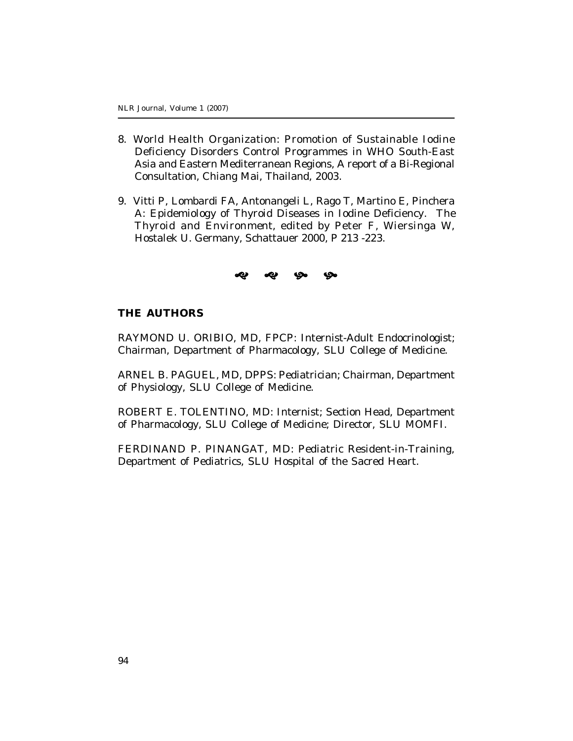- 8. World Health Organization: Promotion of Sustainable Iodine Deficiency Disorders Control Programmes in WHO South-East Asia and Eastern Mediterranean Regions, A report of a Bi-Regional Consultation, Chiang Mai, Thailand, 2003.
- 9. Vitti P, Lombardi FA, Antonangeli L, Rago T, Martino E, Pinchera A: Epidemiology of Thyroid Diseases in Iodine Deficiency. *The Thyroid and Environment,* edited by Peter F, Wiersinga W, Hostalek U. Germany, Schattauer 2000, P 213 -223.

## s s s s s

### **THE AUTHORS**

RAYMOND U. ORIBIO, MD, FPCP: Internist-Adult Endocrinologist; Chairman, Department of Pharmacology, SLU College of Medicine.

ARNEL B. PAGUEL, MD, DPPS: Pediatrician; Chairman, Department of Physiology, SLU College of Medicine.

ROBERT E. TOLENTINO, MD: Internist; Section Head, Department of Pharmacology, SLU College of Medicine; Director, SLU MOMFI.

FERDINAND P. PINANGAT, MD: Pediatric Resident-in-Training, Department of Pediatrics, SLU Hospital of the Sacred Heart.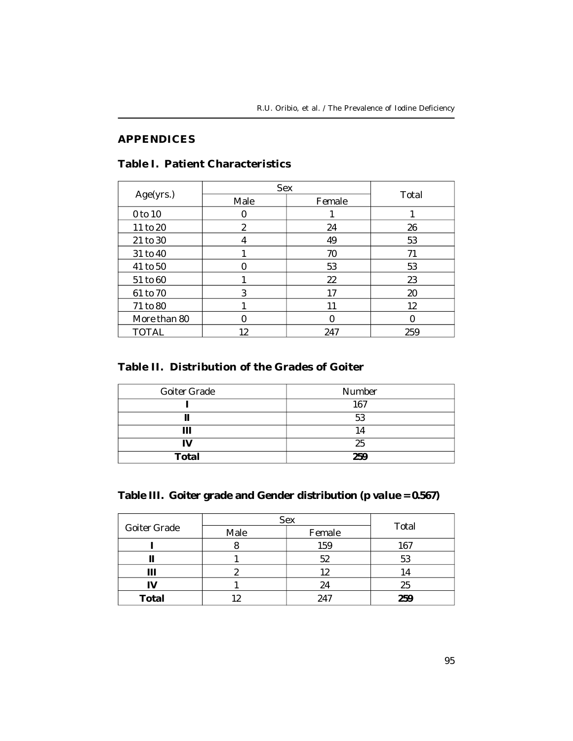## **APPENDICES**

## **Table I. Patient Characteristics**

|              | <b>Sex</b> |        |       |  |
|--------------|------------|--------|-------|--|
| Age(yrs.)    | Male       | Female | Total |  |
| 0 to 10      |            |        |       |  |
| 11 to 20     | 2          | 24     | 26    |  |
| 21 to 30     |            | 49     | 53    |  |
| 31 to 40     |            | 70     | 71    |  |
| 41 to 50     |            | 53     | 53    |  |
| 51 to 60     |            | 22     | 23    |  |
| 61 to 70     | 3          | 17     | 20    |  |
| 71 to 80     |            | 11     | 12    |  |
| More than 80 |            |        |       |  |
| TOTAL        | 12         | 247    | 259   |  |

## **Table II. Distribution of the Grades of Goiter**

| Goiter Grade | Number |  |
|--------------|--------|--|
|              | 167    |  |
|              | 53     |  |
| Ш            |        |  |
|              | 25     |  |
| <b>Total</b> | 259    |  |

**Table III. Goiter grade and Gender distribution** *(p value = 0.567)*

|              | Sex            | Total |     |
|--------------|----------------|-------|-----|
| Goiter Grade | Male<br>Female |       |     |
|              |                | 159   | 167 |
|              |                | 52    | 53  |
| Ш            |                | 12    | 14  |
| IV           |                | 24    | 25  |
| <b>Total</b> |                | 247   | 259 |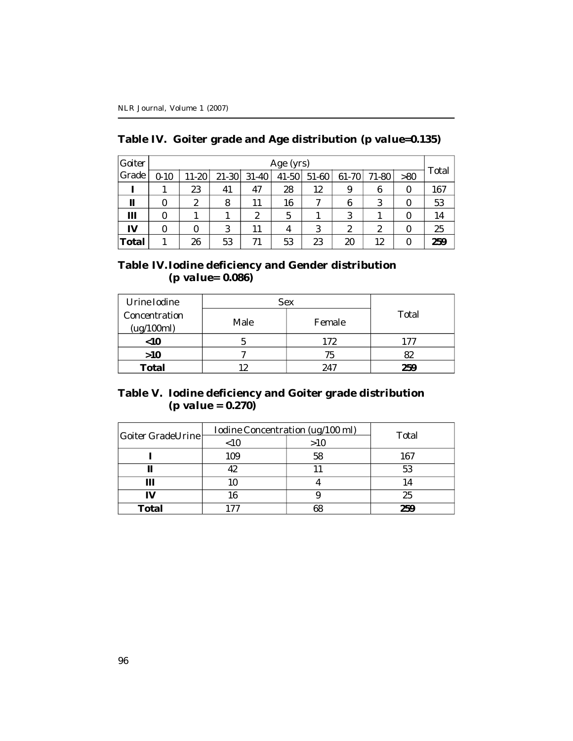| Goiter       |          | Age (yrs) |         |           |           |       |       |       |     |       |
|--------------|----------|-----------|---------|-----------|-----------|-------|-------|-------|-----|-------|
| Grade        | $0 - 10$ | 11-20     | $21-30$ | $31 - 40$ | $41 - 50$ | 51-60 | 61-70 | 71-80 | >80 | Total |
|              |          | 23        | 41      | 47        | 28        | 12    | 9     | 6     | 0   | 167   |
| Ш            |          | 2         | 8       | 11        | 16        |       | 6     | 3     | 0   | 53    |
| Ш            |          |           |         | 2         | 5         |       | 3     |       |     | 14    |
| IV           |          |           | 3       |           | 4         | 3     | 2     | 2     | 0   | 25    |
| <b>Total</b> |          | 26        | 53      | 71        | 53        | 23    | 20    | 12    | 0   | 259   |

|  |  |  |  | Table IV. Goiter grade and Age distribution (p value=0.135) |
|--|--|--|--|-------------------------------------------------------------|
|--|--|--|--|-------------------------------------------------------------|

### **Table IV. Iodine deficiency and Gender distribution** *(p value= 0.086)*

| Urine Iodine                | <b>Sex</b>     | Total |     |
|-----------------------------|----------------|-------|-----|
| Concentration<br>(ug/100ml) | Male<br>Female |       |     |
| $<$ 10                      |                | 172   | 177 |
| $>10$                       |                | 75    | 82  |
| Total                       |                | 74.   | 259 |

### **Table V. Iodine deficiency and Goiter grade distribution** *(p value = 0.270)*

| Goiter GradeUrine | Iodine Concentration (ug/100 ml) | Total |     |
|-------------------|----------------------------------|-------|-----|
|                   | >10<br>~10                       |       |     |
|                   | 109                              | 58    | 167 |
|                   |                                  |       | 53  |
| Ш                 |                                  |       | 14  |
| IV                |                                  |       | 25  |
| Total             |                                  |       | 259 |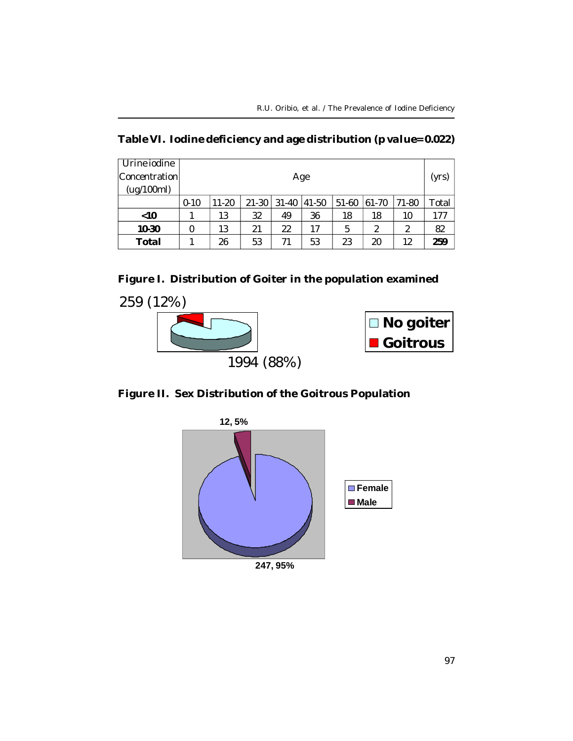| Urine jodine  |          |           |           |           |       |         |          |       |       |
|---------------|----------|-----------|-----------|-----------|-------|---------|----------|-------|-------|
| Concentration |          | Age       |           |           |       |         |          |       | (yrs) |
| (ug/100ml)    |          |           |           |           |       |         |          |       |       |
|               | $0 - 10$ | $11 - 20$ | $21 - 30$ | $31 - 40$ | 41-50 | $51-60$ | $ 61-70$ | 71-80 | Total |
| $<$ 10        |          | 13        | 32        | 49        | 36    | 18      | 18       | 10    | 177   |
| 10-30         | 0        | 13        | 21        | 22        | 17    | 5       | 2        | 2     | 82    |
| Total         |          | 26        | 53        | 71        | 53    | 23      | 20       | 12    | 259   |

**Figure I. Distribution of Goiter in the population examined**





**Figure II. Sex Distribution of the Goitrous Population**



**247, 95%**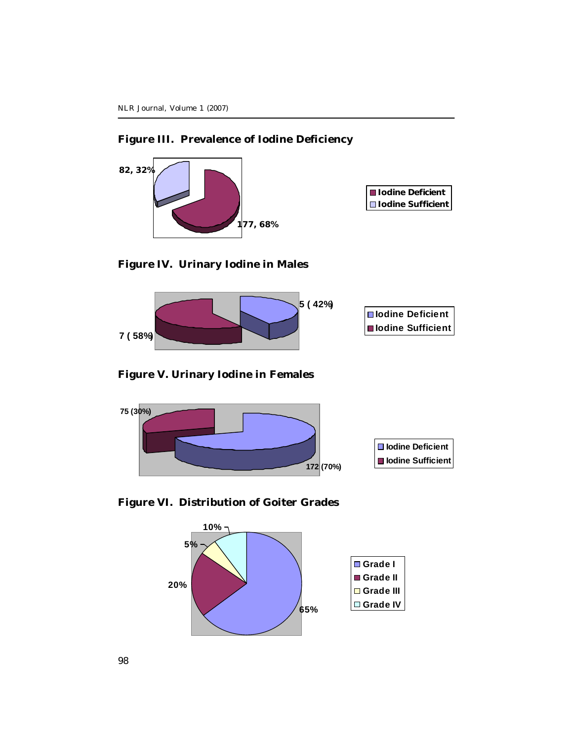## **Figure III. Prevalence of Iodine Deficiency**



**Figure IV. Urinary Iodine in Males**



## **Figure V. Urinary Iodine in Females**